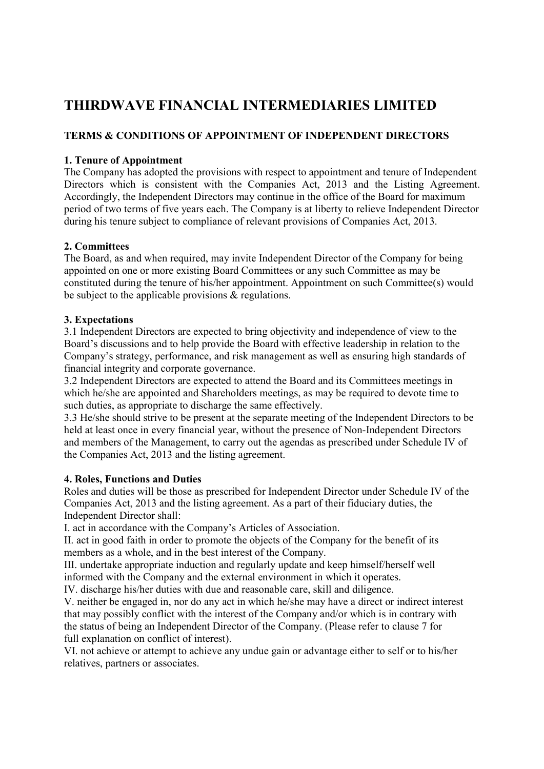# THIRDWAVE FINANCIAL INTERMEDIARIES LIMITED

# TERMS & CONDITIONS OF APPOINTMENT OF INDEPENDENT DIRECTORS

## 1. Tenure of Appointment

The Company has adopted the provisions with respect to appointment and tenure of Independent Directors which is consistent with the Companies Act, 2013 and the Listing Agreement. Accordingly, the Independent Directors may continue in the office of the Board for maximum period of two terms of five years each. The Company is at liberty to relieve Independent Director during his tenure subject to compliance of relevant provisions of Companies Act, 2013.

## 2. Committees

The Board, as and when required, may invite Independent Director of the Company for being appointed on one or more existing Board Committees or any such Committee as may be constituted during the tenure of his/her appointment. Appointment on such Committee(s) would be subject to the applicable provisions & regulations.

## 3. Expectations

3.1 Independent Directors are expected to bring objectivity and independence of view to the Board's discussions and to help provide the Board with effective leadership in relation to the Company's strategy, performance, and risk management as well as ensuring high standards of financial integrity and corporate governance.

3.2 Independent Directors are expected to attend the Board and its Committees meetings in which he/she are appointed and Shareholders meetings, as may be required to devote time to such duties, as appropriate to discharge the same effectively.

3.3 He/she should strive to be present at the separate meeting of the Independent Directors to be held at least once in every financial year, without the presence of Non-Independent Directors and members of the Management, to carry out the agendas as prescribed under Schedule IV of the Companies Act, 2013 and the listing agreement.

### 4. Roles, Functions and Duties

Roles and duties will be those as prescribed for Independent Director under Schedule IV of the Companies Act, 2013 and the listing agreement. As a part of their fiduciary duties, the Independent Director shall:

I. act in accordance with the Company's Articles of Association.

II. act in good faith in order to promote the objects of the Company for the benefit of its members as a whole, and in the best interest of the Company.

III. undertake appropriate induction and regularly update and keep himself/herself well informed with the Company and the external environment in which it operates.

IV. discharge his/her duties with due and reasonable care, skill and diligence.

V. neither be engaged in, nor do any act in which he/she may have a direct or indirect interest that may possibly conflict with the interest of the Company and/or which is in contrary with the status of being an Independent Director of the Company. (Please refer to clause 7 for full explanation on conflict of interest).

VI. not achieve or attempt to achieve any undue gain or advantage either to self or to his/her relatives, partners or associates.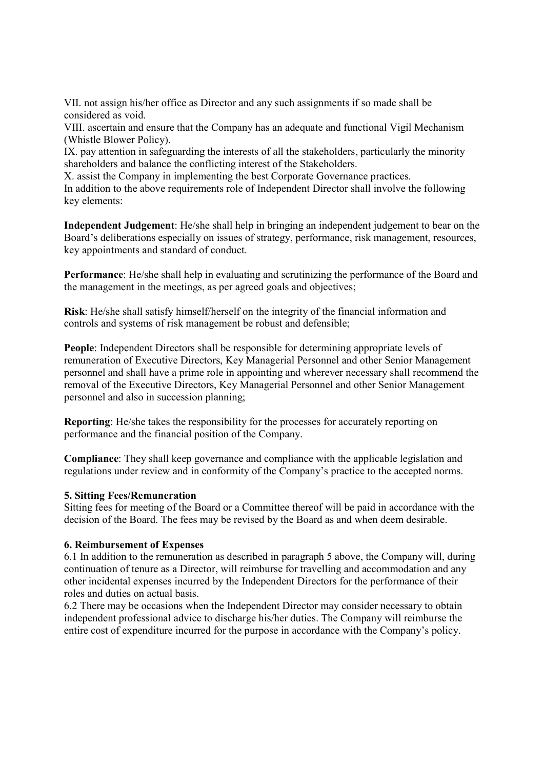VII. not assign his/her office as Director and any such assignments if so made shall be considered as void.

VIII. ascertain and ensure that the Company has an adequate and functional Vigil Mechanism (Whistle Blower Policy).

IX. pay attention in safeguarding the interests of all the stakeholders, particularly the minority shareholders and balance the conflicting interest of the Stakeholders.

X. assist the Company in implementing the best Corporate Governance practices.

In addition to the above requirements role of Independent Director shall involve the following key elements:

Independent Judgement: He/she shall help in bringing an independent judgement to bear on the Board's deliberations especially on issues of strategy, performance, risk management, resources, key appointments and standard of conduct.

Performance: He/she shall help in evaluating and scrutinizing the performance of the Board and the management in the meetings, as per agreed goals and objectives;

Risk: He/she shall satisfy himself/herself on the integrity of the financial information and controls and systems of risk management be robust and defensible;

People: Independent Directors shall be responsible for determining appropriate levels of remuneration of Executive Directors, Key Managerial Personnel and other Senior Management personnel and shall have a prime role in appointing and wherever necessary shall recommend the removal of the Executive Directors, Key Managerial Personnel and other Senior Management personnel and also in succession planning;

Reporting: He/she takes the responsibility for the processes for accurately reporting on performance and the financial position of the Company.

Compliance: They shall keep governance and compliance with the applicable legislation and regulations under review and in conformity of the Company's practice to the accepted norms.

### 5. Sitting Fees/Remuneration

Sitting fees for meeting of the Board or a Committee thereof will be paid in accordance with the decision of the Board. The fees may be revised by the Board as and when deem desirable.

### 6. Reimbursement of Expenses

6.1 In addition to the remuneration as described in paragraph 5 above, the Company will, during continuation of tenure as a Director, will reimburse for travelling and accommodation and any other incidental expenses incurred by the Independent Directors for the performance of their roles and duties on actual basis.

6.2 There may be occasions when the Independent Director may consider necessary to obtain independent professional advice to discharge his/her duties. The Company will reimburse the entire cost of expenditure incurred for the purpose in accordance with the Company's policy.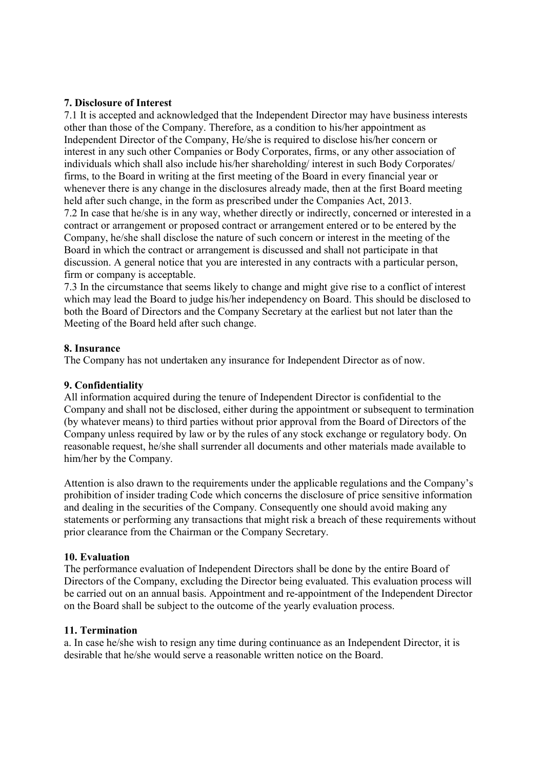### 7. Disclosure of Interest

7.1 It is accepted and acknowledged that the Independent Director may have business interests other than those of the Company. Therefore, as a condition to his/her appointment as Independent Director of the Company, He/she is required to disclose his/her concern or interest in any such other Companies or Body Corporates, firms, or any other association of individuals which shall also include his/her shareholding/ interest in such Body Corporates/ firms, to the Board in writing at the first meeting of the Board in every financial year or whenever there is any change in the disclosures already made, then at the first Board meeting held after such change, in the form as prescribed under the Companies Act, 2013. 7.2 In case that he/she is in any way, whether directly or indirectly, concerned or interested in a contract or arrangement or proposed contract or arrangement entered or to be entered by the Company, he/she shall disclose the nature of such concern or interest in the meeting of the Board in which the contract or arrangement is discussed and shall not participate in that discussion. A general notice that you are interested in any contracts with a particular person, firm or company is acceptable.

7.3 In the circumstance that seems likely to change and might give rise to a conflict of interest which may lead the Board to judge his/her independency on Board. This should be disclosed to both the Board of Directors and the Company Secretary at the earliest but not later than the Meeting of the Board held after such change.

### 8. Insurance

The Company has not undertaken any insurance for Independent Director as of now.

### 9. Confidentiality

All information acquired during the tenure of Independent Director is confidential to the Company and shall not be disclosed, either during the appointment or subsequent to termination (by whatever means) to third parties without prior approval from the Board of Directors of the Company unless required by law or by the rules of any stock exchange or regulatory body. On reasonable request, he/she shall surrender all documents and other materials made available to him/her by the Company.

Attention is also drawn to the requirements under the applicable regulations and the Company's prohibition of insider trading Code which concerns the disclosure of price sensitive information and dealing in the securities of the Company. Consequently one should avoid making any statements or performing any transactions that might risk a breach of these requirements without prior clearance from the Chairman or the Company Secretary.

#### 10. Evaluation

The performance evaluation of Independent Directors shall be done by the entire Board of Directors of the Company, excluding the Director being evaluated. This evaluation process will be carried out on an annual basis. Appointment and re-appointment of the Independent Director on the Board shall be subject to the outcome of the yearly evaluation process.

#### 11. Termination

a. In case he/she wish to resign any time during continuance as an Independent Director, it is desirable that he/she would serve a reasonable written notice on the Board.